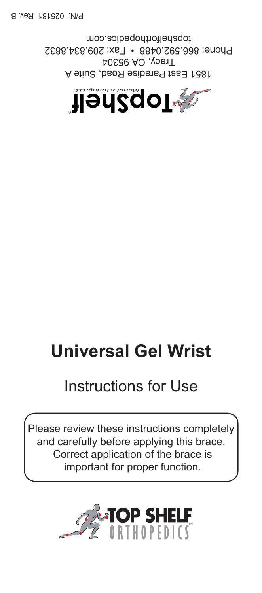

A stiu2, bsoЯ saibs as tas rast Tracy, CA 95304 Phone: 866.592.0488 • Fax: 209.834.8832 topshelforthopedics.com

# **Universal Gel Wrist**

## Instructions for Use

Please review these instructions completely and carefully before applying this brace. Correct application of the brace is important for proper function.